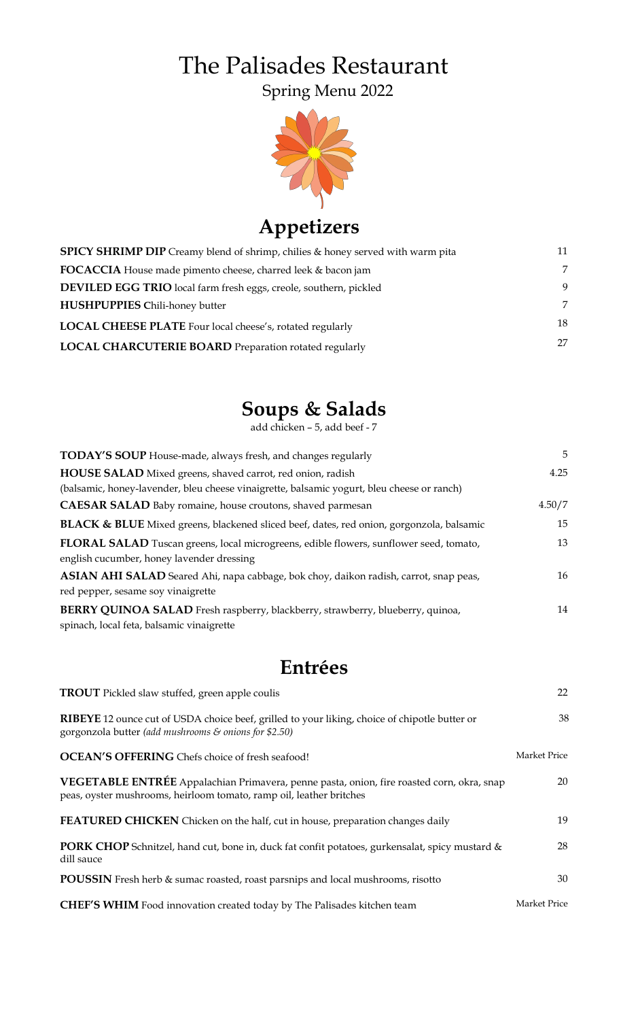# The Palisades Restaurant Spring Menu 2022



## **Appetizers**

| <b>SPICY SHRIMP DIP</b> Creamy blend of shrimp, chilies & honey served with warm pita | 11 |
|---------------------------------------------------------------------------------------|----|
| FOCACCIA House made pimento cheese, charred leek & bacon jam                          | 7  |
| <b>DEVILED EGG TRIO</b> local farm fresh eggs, creole, southern, pickled              | 9  |
| <b>HUSHPUPPIES Chili-honey butter</b>                                                 | 7  |
| LOCAL CHEESE PLATE Four local cheese's, rotated regularly                             | 18 |
| LOCAL CHARCUTERIE BOARD Preparation rotated regularly                                 | 27 |

## **Soups & Salads**

add chicken – 5, add beef - 7

| <b>TODAY'S SOUP</b> House-made, always fresh, and changes regularly                                                                        | 5      |
|--------------------------------------------------------------------------------------------------------------------------------------------|--------|
| HOUSE SALAD Mixed greens, shaved carrot, red onion, radish                                                                                 | 4.25   |
| (balsamic, honey-lavender, bleu cheese vinaigrette, balsamic yogurt, bleu cheese or ranch)                                                 |        |
| <b>CAESAR SALAD</b> Baby romaine, house croutons, shaved parmesan                                                                          | 4.50/7 |
| <b>BLACK &amp; BLUE</b> Mixed greens, blackened sliced beef, dates, red onion, gorgonzola, balsamic                                        | 15     |
| <b>FLORAL SALAD</b> Tuscan greens, local microgreens, edible flowers, sunflower seed, tomato,<br>english cucumber, honey lavender dressing | 13     |
| ASIAN AHI SALAD Seared Ahi, napa cabbage, bok choy, daikon radish, carrot, snap peas,<br>red pepper, sesame soy vinaigrette                | 16     |
| BERRY QUINOA SALAD Fresh raspberry, blackberry, strawberry, blueberry, quinoa,<br>spinach, local feta, balsamic vinaigrette                | 14     |

### **Entrées**

| <b>TROUT</b> Pickled slaw stuffed, green apple coulis                                                                                                                     | 22           |
|---------------------------------------------------------------------------------------------------------------------------------------------------------------------------|--------------|
| <b>RIBEYE</b> 12 ounce cut of USDA choice beef, grilled to your liking, choice of chipotle butter or<br>gorgonzola butter (add mushrooms $\varepsilon$ onions for \$2.50) | 38           |
| <b>OCEAN'S OFFERING</b> Chefs choice of fresh seafood!                                                                                                                    | Market Price |
| VEGETABLE ENTRÉE Appalachian Primavera, penne pasta, onion, fire roasted corn, okra, snap<br>peas, oyster mushrooms, heirloom tomato, ramp oil, leather britches          | 20           |
| FEATURED CHICKEN Chicken on the half, cut in house, preparation changes daily                                                                                             | 19           |
| <b>PORK CHOP</b> Schnitzel, hand cut, bone in, duck fat confit potatoes, gurkensalat, spicy mustard &<br>dill sauce                                                       | 28           |
| <b>POUSSIN</b> Fresh herb & sumac roasted, roast parsnips and local mushrooms, risotto                                                                                    | 30           |
| <b>CHEF'S WHIM</b> Food innovation created today by The Palisades kitchen team                                                                                            | Market Price |